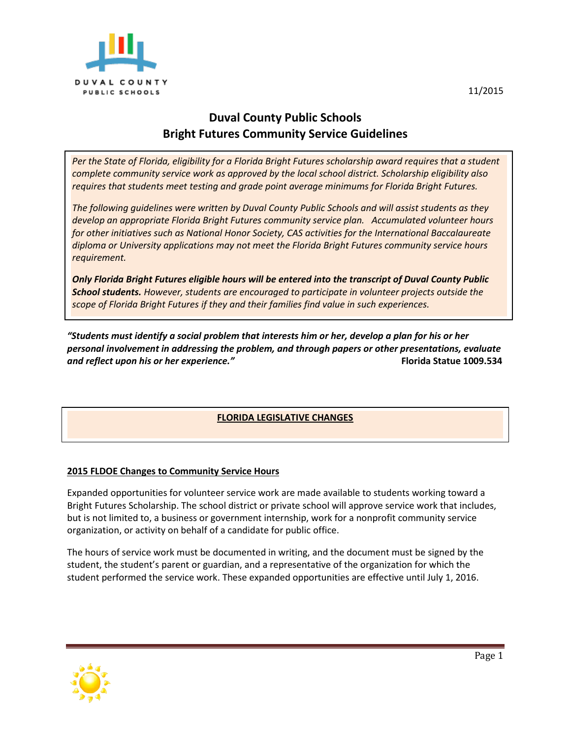

*Per the State of Florida, eligibility for a Florida Bright Futures scholarship award requires that a student complete community service work as approved by the local school district. Scholarship eligibility also requires that students meet testing and grade point average minimums for Florida Bright Futures.* 

*The following guidelines were written by Duval County Public Schools and will assist students as they develop an appropriate Florida Bright Futures community service plan. Accumulated volunteer hours for other initiatives such as National Honor Society, CAS activities for the International Baccalaureate diploma or University applications may not meet the Florida Bright Futures community service hours requirement.* 

*. scope of Florida Bright Futures if they and their families find value in such experiences. Only Florida Bright Futures eligible hours will be entered into the transcript of Duval County Public School students. However, students are encouraged to participate in volunteer projects outside the* 

*"Students must identify a social problem that interests him or her, develop a plan for his or her personal involvement in addressing the problem, and through papers or other presentations, evaluate and reflect upon his or her experience." Florida Statue 1009.534* 

# **FLORIDA LEGISLATIVE CHANGES**

## **2015 FLDOE Changes to Community Service Hours**

Expanded opportunities for volunteer service work are made available to students working toward a Bright Futures Scholarship. The school district or private school will approve service work that includes, but is not limited to, a business or government internship, work for a nonprofit community service organization, or activity on behalf of a candidate for public office.

The hours of service work must be documented in writing, and the document must be signed by the student, the student's parent or guardian, and a representative of the organization for which the student performed the service work. These expanded opportunities are effective until July 1, 2016.

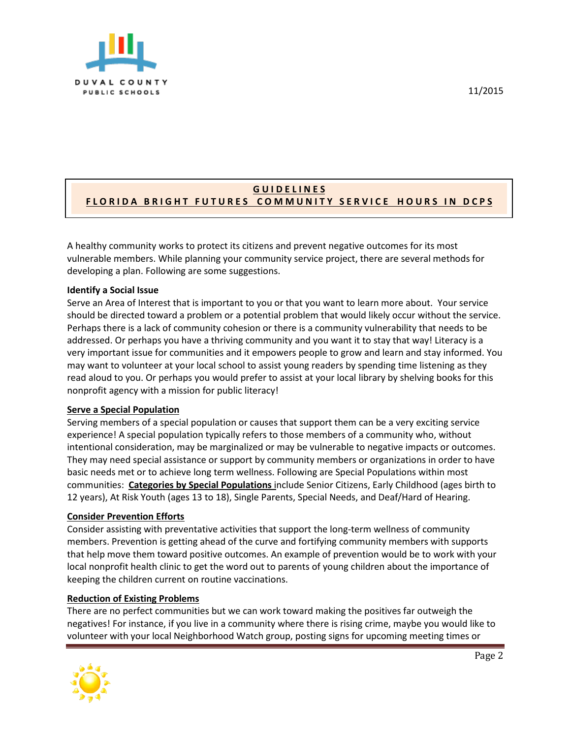

## **G U I D E L I N E S FLORIDA BRIGHT FUTURES COMMUNITY SERVICE HOURS IN DCPS**

A healthy community works to protect its citizens and prevent negative outcomes for its most vulnerable members. While planning your community service project, there are several methods for developing a plan. Following are some suggestions.

#### **Identify a Social Issue**

Serve an Area of Interest that is important to you or that you want to learn more about. Your service should be directed toward a problem or a potential problem that would likely occur without the service. Perhaps there is a lack of community cohesion or there is a community vulnerability that needs to be addressed. Or perhaps you have a thriving community and you want it to stay that way! Literacy is a very important issue for communities and it empowers people to grow and learn and stay informed. You may want to volunteer at your local school to assist young readers by spending time listening as they read aloud to you. Or perhaps you would prefer to assist at your local library by shelving books for this nonprofit agency with a mission for public literacy!

#### **Serve a Special Population**

Serving members of a special population or causes that support them can be a very exciting service experience! A special population typically refers to those members of a community who, without intentional consideration, may be marginalized or may be vulnerable to negative impacts or outcomes. They may need special assistance or support by community members or organizations in order to have basic needs met or to achieve long term wellness. Following are Special Populations within most communities: **Categories by Special Populations** include Senior Citizens, Early Childhood (ages birth to 12 years), At Risk Youth (ages 13 to 18), Single Parents, Special Needs, and Deaf/Hard of Hearing.

#### **Consider Prevention Efforts**

Consider assisting with preventative activities that support the long-term wellness of community members. Prevention is getting ahead of the curve and fortifying community members with supports that help move them toward positive outcomes. An example of prevention would be to work with your local nonprofit health clinic to get the word out to parents of young children about the importance of keeping the children current on routine vaccinations.

#### **Reduction of Existing Problems**

There are no perfect communities but we can work toward making the positives far outweigh the negatives! For instance, if you live in a community where there is rising crime, maybe you would like to volunteer with your local Neighborhood Watch group, posting signs for upcoming meeting times or

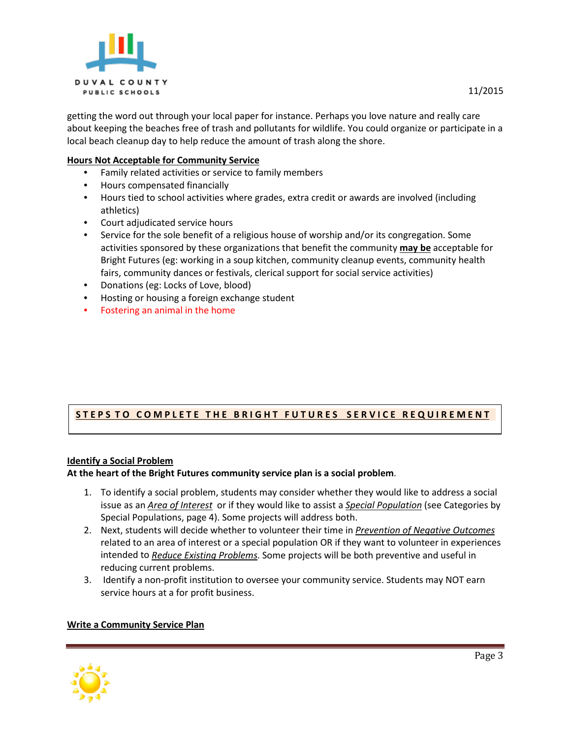

getting the word out through your local paper for instance. Perhaps you love nature and really care about keeping the beaches free of trash and pollutants for wildlife. You could organize or participate in a local beach cleanup day to help reduce the amount of trash along the shore.

### **Hours Not Acceptable for Community Service**

- Family related activities or service to family members
- Hours compensated financially
- Hours tied to school activities where grades, extra credit or awards are involved (including athletics)
- Court adjudicated service hours
- Service for the sole benefit of a religious house of worship and/or its congregation. Some activities sponsored by these organizations that benefit the community **may be** acceptable for Bright Futures (eg: working in a soup kitchen, community cleanup events, community health fairs, community dances or festivals, clerical support for social service activities)
- Donations (eg: Locks of Love, blood)
- Hosting or housing a foreign exchange student
- Fostering an animal in the home

# **STEPS TO COMPLETE THE BRIGHT FUTURES SERVICE REQUIREMENT**

#### **Identify a Social Problem**

#### **At the heart of the Bright Futures community service plan is a social problem**.

- 1. To identify a social problem, students may consider whether they would like to address a social issue as an *Area of Interest* or if they would like to assist a *Special Population* (see Categories by Special Populations, page 4). Some projects will address both.
- 2. Next, students will decide whether to volunteer their time in *Prevention of Negative Outcomes* related to an area of interest or a special population OR if they want to volunteer in experiences intended to *Reduce Existing Problems*. Some projects will be both preventive and useful in reducing current problems.
- 3. Identify a non-profit institution to oversee your community service. Students may NOT earn service hours at a for profit business.

#### **Write a Community Service Plan**

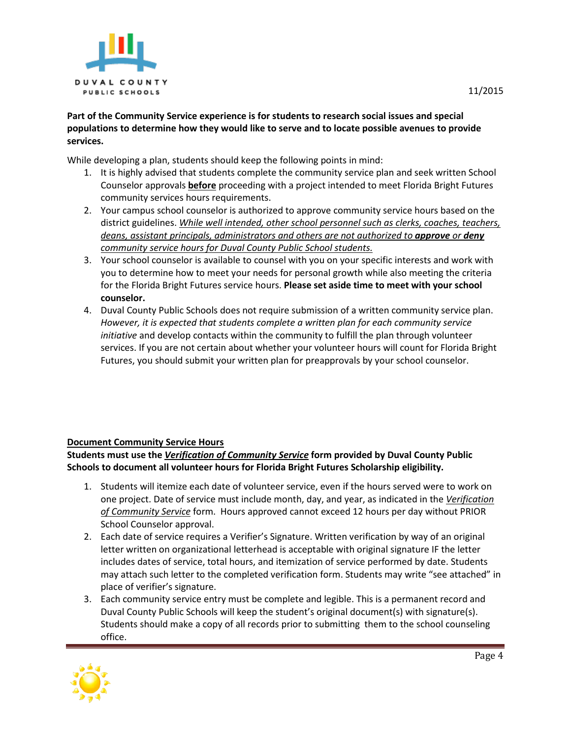

While developing a plan, students should keep the following points in mind:

- 1. It is highly advised that students complete the community service plan and seek written School Counselor approvals **before** proceeding with a project intended to meet Florida Bright Futures community services hours requirements.
- 2. Your campus school counselor is authorized to approve community service hours based on the district guidelines. *While well intended, other school personnel such as clerks, coaches, teachers, deans, assistant principals, administrators and others are not authorized to approve or deny community service hours for Duval County Public School students.*
- 3. Your school counselor is available to counsel with you on your specific interests and work with you to determine how to meet your needs for personal growth while also meeting the criteria for the Florida Bright Futures service hours. **Please set aside time to meet with your school counselor.**
- 4. Duval County Public Schools does not require submission of a written community service plan. *However, it is expected that students complete a written plan for each community service initiative* and develop contacts within the community to fulfill the plan through volunteer services. If you are not certain about whether your volunteer hours will count for Florida Bright Futures, you should submit your written plan for preapprovals by your school counselor.

## **Document Community Service Hours**

**Students must use the** *Verification of Community Service* **form provided by Duval County Public Schools to document all volunteer hours for Florida Bright Futures Scholarship eligibility.**

- 1. Students will itemize each date of volunteer service, even if the hours served were to work on one project. Date of service must include month, day, and year, as indicated in the *Verification of Community Service* form. Hours approved cannot exceed 12 hours per day without PRIOR School Counselor approval.
- 2. Each date of service requires a Verifier's Signature. Written verification by way of an original letter written on organizational letterhead is acceptable with original signature IF the letter includes dates of service, total hours, and itemization of service performed by date. Students may attach such letter to the completed verification form. Students may write "see attached" in place of verifier's signature.
- 3. Each community service entry must be complete and legible. This is a permanent record and Duval County Public Schools will keep the student's original document(s) with signature(s). Students should make a copy of all records prior to submitting them to the school counseling office.

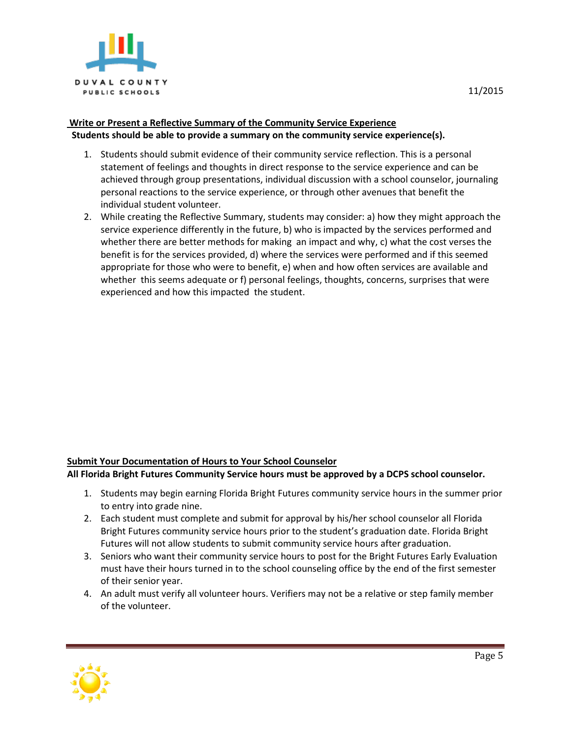

#### **Write or Present a Reflective Summary of the Community Service Experience Students should be able to provide a summary on the community service experience(s).**

- 1. Students should submit evidence of their community service reflection. This is a personal statement of feelings and thoughts in direct response to the service experience and can be achieved through group presentations, individual discussion with a school counselor, journaling personal reactions to the service experience, or through other avenues that benefit the individual student volunteer.
- 2. While creating the Reflective Summary, students may consider: a) how they might approach the service experience differently in the future, b) who is impacted by the services performed and whether there are better methods for making an impact and why, c) what the cost verses the benefit is for the services provided, d) where the services were performed and if this seemed appropriate for those who were to benefit, e) when and how often services are available and whether this seems adequate or f) personal feelings, thoughts, concerns, surprises that were experienced and how this impacted the student.

#### **Submit Your Documentation of Hours to Your School Counselor**

**All Florida Bright Futures Community Service hours must be approved by a DCPS school counselor.**

- 1. Students may begin earning Florida Bright Futures community service hours in the summer prior to entry into grade nine.
- 2. Each student must complete and submit for approval by his/her school counselor all Florida Bright Futures community service hours prior to the student's graduation date. Florida Bright Futures will not allow students to submit community service hours after graduation.
- 3. Seniors who want their community service hours to post for the Bright Futures Early Evaluation must have their hours turned in to the school counseling office by the end of the first semester of their senior year.
- 4. An adult must verify all volunteer hours. Verifiers may not be a relative or step family member of the volunteer.

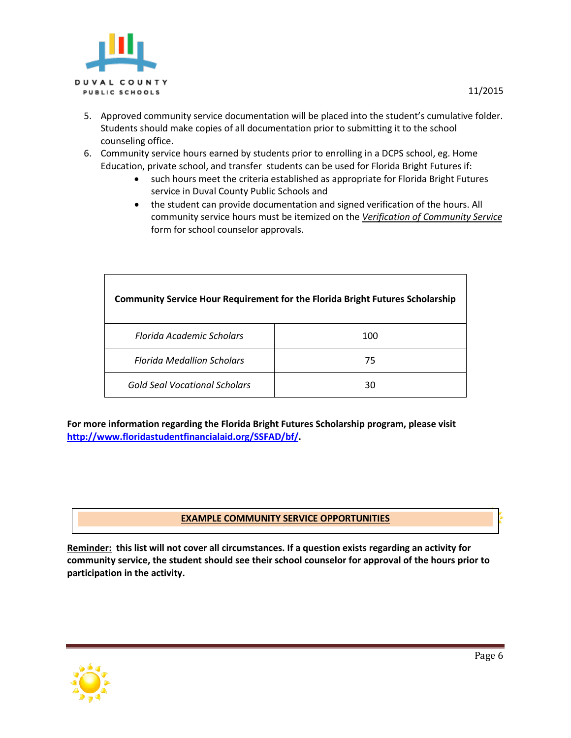

- 5. Approved community service documentation will be placed into the student's cumulative folder. Students should make copies of all documentation prior to submitting it to the school counseling office.
- 6. Community service hours earned by students prior to enrolling in a DCPS school, eg. Home Education, private school, and transfer students can be used for Florida Bright Futures if:
	- such hours meet the criteria established as appropriate for Florida Bright Futures service in Duval County Public Schools and
	- the student can provide documentation and signed verification of the hours. All community service hours must be itemized on the *Verification of Community Service* form for school counselor approvals.

| <b>Community Service Hour Requirement for the Florida Bright Futures Scholarship</b> |     |
|--------------------------------------------------------------------------------------|-----|
| Florida Academic Scholars                                                            | 100 |
| <b>Florida Medallion Scholars</b>                                                    | 75  |
| Gold Seal Vocational Scholars                                                        | 30  |

**For more information regarding the Florida Bright Futures Scholarship program, please visit [http://www.floridastudentfinancialaid.org/SSFAD/bf/.](http://www.floridastudentfinancialaid.org/SSFAD/bf/)** 

## **EXAMPLE COMMUNITY SERVICE OPPORTUNITIES**

**Reminder: this list will not cover all circumstances. If a question exists regarding an activity for community service, the student should see their school counselor for approval of the hours prior to participation in the activity.**

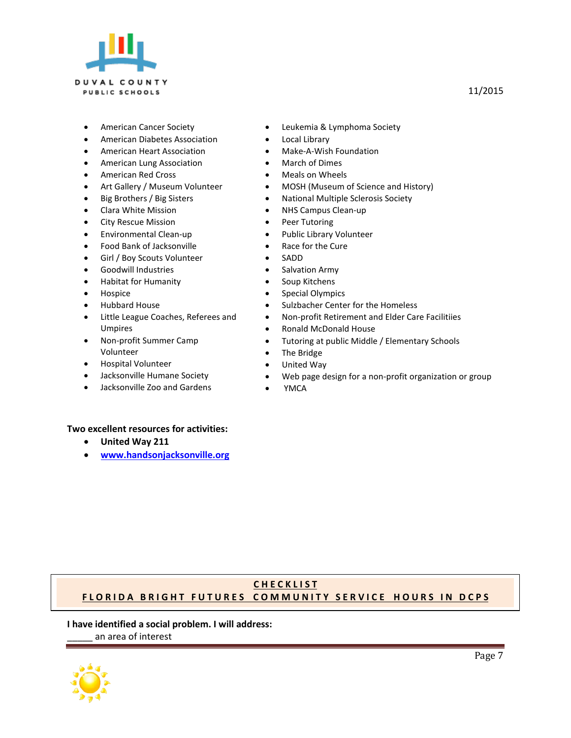

- American Cancer Society
- American Diabetes Association
- American Heart Association
- American Lung Association
- American Red Cross
- Art Gallery / Museum Volunteer
- Big Brothers / Big Sisters
- Clara White Mission
- City Rescue Mission
- Environmental Clean-up
- Food Bank of Jacksonville
- Girl / Boy Scouts Volunteer
- Goodwill Industries
- Habitat for Humanity
- Hospice
- Hubbard House
- Little League Coaches, Referees and Umpires
- Non-profit Summer Camp Volunteer
- Hospital Volunteer
- Jacksonville Humane Society
- Jacksonville Zoo and Gardens

#### **Two excellent resources for activities:**

- **United Way 211**
- **[www.handsonjacksonville.org](http://www.handsonjacksonville.org/)**
- Leukemia & Lymphoma Society
- Local Library
- Make-A-Wish Foundation
- March of Dimes
- Meals on Wheels
- MOSH (Museum of Science and History)
- National Multiple Sclerosis Society
- NHS Campus Clean-up
- Peer Tutoring
- Public Library Volunteer
- Race for the Cure
- SADD
- Salvation Army
- Soup Kitchens
- Special Olympics
- Sulzbacher Center for the Homeless
- Non-profit Retirement and Elder Care Facilitiies
- Ronald McDonald House
- Tutoring at public Middle / Elementary Schools
- The Bridge
- United Way
- Web page design for a non-profit organization or group
- YMCA

## **C H E C K L I S T FLORIDA BRIGHT FUTURES COMMUNITY SERVICE HOURS IN DCPS**

**I have identified a social problem. I will address:**

an area of interest



11/2015